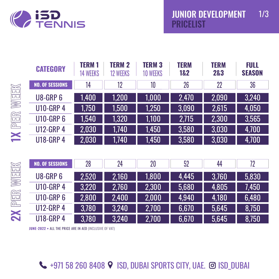

|                   | <b>CATEGORY</b>        | <b>TERM1</b><br><b>14 WEEKS</b> | <b>TERM 2</b><br><b>12 WEEKS</b> | <b>TERM 3</b><br><b>10 WEEKS</b> | <b>TERM</b><br>1&2 | <b>TERM</b><br>2&3 | <b>FULL</b><br><b>SEASON</b> |
|-------------------|------------------------|---------------------------------|----------------------------------|----------------------------------|--------------------|--------------------|------------------------------|
|                   | <b>NO. OF SESSIONS</b> | 14                              | 12                               | 10                               | 26                 | 22                 | 36                           |
| <b>IXPER WEEK</b> | <b>U8-GRP 6</b>        | 1,400                           | 1,200                            | 1,000                            | 2,470              | 2,090              | 3,240                        |
|                   | <b>U10-GRP 4</b>       | 1,750                           | 1,500                            | 1,250                            | 3,090              | 2,615              | 4,050                        |
|                   | <b>U10-GRP6</b>        | 1,540                           | 1,320                            | 1,100                            | 2,715              | 2,300              | 3,565                        |
|                   | <b>U12-GRP 4</b>       | 2,030                           | 1,740                            | 1,450                            | 3,580              | 3,030              | 4,700                        |
|                   | <b>U18-GRP 4</b>       | 2,030                           | 1,740                            | 1,450                            | 3,580              | 3,030              | 4,700                        |
|                   |                        |                                 |                                  |                                  |                    |                    |                              |
|                   | <b>NO. OF SESSIONS</b> | 28                              | 24                               | 20                               | 52                 | 44                 | 72                           |
| EEK               | <b>U8-GRP6</b>         | 2,520                           | 2,160                            | 1,800                            | 4,445              | 3,760              | 5,830                        |
|                   | <b>U10-GRP 4</b>       | 3,220                           | 2,760                            | 2,300                            | 5,680              | 4,805              | 7,450                        |
|                   | <b>U10-GRP6</b>        | 2,800                           | 2,400                            | 2,000                            | 4,940              | 4,180              | 6,480                        |
| 2X PER W          | <b>U12-GRP 4</b>       | 3,780                           | 3,240                            | 2,700                            | 6,670              | 5,645              | 8,750                        |
|                   | <b>U18-GRP 4</b>       | 3.780                           | 3.240                            | 2.700                            | 6.670              | 5.645              | 8.750                        |

3,780

3,240

U18-GRP 4

**4** +971 58 260 8408 9 ISD, DUBAI SPORTS CITY, UAE. @ ISD\_DUBAI

2,700

6,670

5,645

8,750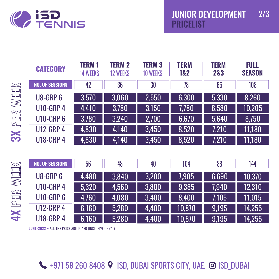

|                    | <b>CATEGORY</b>        | <b>TERM1</b><br><b>14 WEEKS</b> | <b>TERM 2</b><br><b>12 WEEKS</b> | <b>TERM 3</b><br><b>10 WEEKS</b> | <b>TERM</b><br>1&2 | <b>TERM</b><br>2&3 | <b>FULL</b><br><b>SEASON</b> |
|--------------------|------------------------|---------------------------------|----------------------------------|----------------------------------|--------------------|--------------------|------------------------------|
|                    | <b>NO. OF SESSIONS</b> | 42                              | 36                               | 30                               | 78                 | 66                 | 108                          |
| <b>3X</b> PER WEEK | <b>U8-GRP6</b>         | 3,570                           | 3,060                            | 2,550                            | 6,300              | 5,330              | 8,260                        |
|                    | <b>U10-GRP 4</b>       | 4,410                           | 3,780                            | 3,150                            | 7,780              | 6,580              | 10,205                       |
|                    | <b>U10-GRP6</b>        | 3,780                           | 3,240                            | 2,700                            | 6,670              | 5,640              | 8,750                        |
|                    | <b>U12-GRP 4</b>       | 4,830                           | 4,140                            | 3,450                            | 8,520              | 7,210              | 11,180                       |
|                    | <b>U18-GRP 4</b>       | 4,830                           | 4,140                            | 3,450                            | 8,520              | 7,210              | 11,180                       |
|                    |                        |                                 |                                  |                                  |                    |                    |                              |
|                    | <b>NO. OF SESSIONS</b> | 56                              | 48                               | 40                               | 104                | 88                 | 144                          |
| WEEK               | <b>U8-GRP 6</b>        | 4,480                           | 3,840                            | 3,200                            | 7,905              | 6,690              | 10,370                       |

| $\sqrt{2}$                                                     |  |
|----------------------------------------------------------------|--|
| $\overline{\mathbb{L}}$<br>$\overline{a}$<br>$\mathsf{D}$<br>Ę |  |
| $\sum$<br>L<br>ת<br>ת<br>$\mathcal{L}$<br>Ξ                    |  |
| ✓                                                              |  |

| <b>U8-GRP 6</b>  | 4,480 | 3.840 | 3.200 | 7.905  | 6.690 | 10,370 |
|------------------|-------|-------|-------|--------|-------|--------|
| <b>U10-GRP 4</b> | 5.320 | 4.560 | 3.800 | 9.385  | 7.940 | 12,310 |
| <b>U10-GRP 6</b> | 4.760 | 4.080 | 3.400 | 8.400  | 7.105 | 11.015 |
| <b>U12-GRP 4</b> | 6.160 | 5.280 | 4.400 | 10,870 | 9,195 | 14,255 |
| <b>U18-GRP 4</b> | 6,160 | 5,280 | 4,400 | 10,870 | 9.195 | 14,255 |

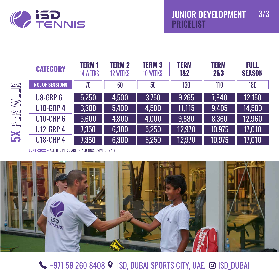

|                                                                                                                                                                                                       | <b>CATEGORY</b>        | <b>TERM1</b><br><b>14 WEEKS</b> | <b>TERM 2</b><br><b>12 WEEKS</b> | <b>TERM 3</b><br><b>10 WEEKS</b> | <b>TERM</b><br>1&2 | <b>TERM</b><br>2&3 | <b>FULL</b><br><b>SEASON</b> |
|-------------------------------------------------------------------------------------------------------------------------------------------------------------------------------------------------------|------------------------|---------------------------------|----------------------------------|----------------------------------|--------------------|--------------------|------------------------------|
| WEEK<br>$\begin{tabular}{ c c } \hline \quad \quad & \quad \quad \\ \hline \quad \quad & \quad \quad \\ \hline \quad \quad & \quad \quad \\ \hline \quad \quad & \quad \quad \\ \hline \end{tabular}$ | <b>NO. OF SESSIONS</b> | 70                              | 60                               | 50                               | 130                | 110                | 180                          |
|                                                                                                                                                                                                       | <b>U8-GRP6</b>         | 5,250                           | 4,500                            | 3,750                            | 9,265              | 7,840              | 12,150                       |
|                                                                                                                                                                                                       | <b>U10-GRP 4</b>       | 6,300                           | 5,400                            | 4,500                            | 11,115             | 9,405              | 14,580                       |
|                                                                                                                                                                                                       | <b>U10-GRP6</b>        | 5,600                           | 4,800                            | 4,000                            | 9,880              | 8,360              | 12,960                       |
|                                                                                                                                                                                                       | <b>U12-GRP 4</b>       | 7,350                           | 6,300                            | 5,250                            | 12,970             | 10,975             | 17,010                       |
| <b>IS</b>                                                                                                                                                                                             | <b>U18-GRP 4</b>       | 7,350                           | 6,300                            | 5,250                            | 12,970             | 10,975             | 17,010                       |



**4971 58 260 8408 9 ISD, DUBAI SPORTS CITY, UAE. @ ISD\_DUBAI**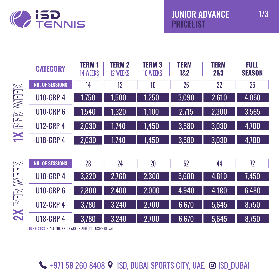

|                                                                                                                                                                                                                                                                                                                                                     | <b>CATEGORY</b>        | <b>TERM1</b><br><b>14 WEEKS</b> | <b>TERM 2</b><br><b>12 WEEKS</b> | <b>TERM 3</b><br><b>10 WEEKS</b> | <b>TERM</b><br>1&2 | <b>TERM</b><br>2&3 | <b>FULL</b><br><b>SEASON</b> |
|-----------------------------------------------------------------------------------------------------------------------------------------------------------------------------------------------------------------------------------------------------------------------------------------------------------------------------------------------------|------------------------|---------------------------------|----------------------------------|----------------------------------|--------------------|--------------------|------------------------------|
|                                                                                                                                                                                                                                                                                                                                                     | <b>NO. OF SESSIONS</b> | 14                              | 12                               | 10                               | 26                 | 22                 | 36                           |
| WEEK                                                                                                                                                                                                                                                                                                                                                | <b>U10-GRP 4</b>       | 1,750                           | 1,500                            | 1,250                            | 3,090              | 2,610              | 4,050                        |
|                                                                                                                                                                                                                                                                                                                                                     | <b>U10-GRP6</b>        | 1,540                           | 1,320                            | 1,100                            | 2,715              | 2,300              | 3,565                        |
| $\begin{picture}(40,40) \put(0,0){\line(1,0){15}} \put(15,0){\line(1,0){15}} \put(15,0){\line(1,0){15}} \put(15,0){\line(1,0){15}} \put(15,0){\line(1,0){15}} \put(15,0){\line(1,0){15}} \put(15,0){\line(1,0){15}} \put(15,0){\line(1,0){15}} \put(15,0){\line(1,0){15}} \put(15,0){\line(1,0){15}} \put(15,0){\line(1,0){15}} \put(15,0){\line(1$ | <b>U12-GRP 4</b>       | 2,030                           | 1,740                            | 1,450                            | 3,580              | 3,030              | 4,700                        |
| X                                                                                                                                                                                                                                                                                                                                                   | <b>U18-GRP 4</b>       | 2,030                           | 1,740                            | 1,450                            | 3,580              | 3,030              | 4,700                        |
|                                                                                                                                                                                                                                                                                                                                                     |                        |                                 |                                  |                                  |                    |                    |                              |
|                                                                                                                                                                                                                                                                                                                                                     | <b>NO. OF SESSIONS</b> | 28                              | 24                               | 20                               | 52                 | 44                 | 72                           |
| WEEK                                                                                                                                                                                                                                                                                                                                                | <b>U10-GRP 4</b>       | 3,220                           | 2,760                            | 2,300                            | 5,680              | 4,810              | 7,450                        |
|                                                                                                                                                                                                                                                                                                                                                     | <b>U10-GRP6</b>        | 2,800                           | 2,400                            | 2,000                            | 4,940              | 4,180              | 6,480                        |
| 2X PER                                                                                                                                                                                                                                                                                                                                              | <b>U12-GRP 4</b>       | 3,780                           | 3,240                            | 2,700                            | 6,670              | 5,645              | 8,750                        |
|                                                                                                                                                                                                                                                                                                                                                     | <b>U18-GRP 4</b>       | 3,780                           | 3,240                            | 2,700                            | 6,670              | 5,645              | 8,750                        |

**4971 58 260 8408 9 ISD, DUBAI SPORTS CITY, UAE. @ ISD\_DUBAI**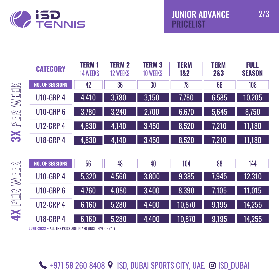

2/3

|        | <b>CATEGORY</b>        | <b>TERM1</b><br><b>14 WEEKS</b> | <b>TERM 2</b><br><b>12 WEEKS</b> | <b>TERM 3</b><br><b>10 WEEKS</b> | <b>TERM</b><br>1&2 | <b>TERM</b><br>2&3 | <b>FULL</b><br><b>SEASON</b> |
|--------|------------------------|---------------------------------|----------------------------------|----------------------------------|--------------------|--------------------|------------------------------|
|        | <b>NO. OF SESSIONS</b> | 42                              | 36                               | 30                               | 78                 | 66                 | 108                          |
| WEEK   | <b>U10-GRP 4</b>       | 4,410                           | 3,780                            | 3,150                            | 7,780              | 6,585              | 10,205                       |
|        | <b>U10-GRP6</b>        | 3,780                           | 3,240                            | 2,700                            | 6,670              | 5,645              | 8,750                        |
| 3X PER | <b>U12-GRP 4</b>       | 4,830                           | 4,140                            | 3,450                            | 8,520              | 7,210              | 11,180                       |
|        | <b>U18-GRP 4</b>       | 4,830                           | 4,140                            | 3,450                            | 8,520              | 7,210              | 11,180                       |
|        |                        |                                 |                                  |                                  |                    |                    |                              |
|        | <b>NO. OF SESSIONS</b> | 56                              | 48                               | 40                               | 104                | 88                 | 144                          |
| WEEK   | <b>U10-GRP 4</b>       | 5,320                           | 4,560                            | 3,800                            | 9,385              | 7,945              | 12,310                       |
|        | <b>U10-GRP6</b>        | 4,760                           | 4,080                            | 3,400                            | 8,390              | 7,105              | 11,015                       |
| 4X PER | <b>U12-GRP 4</b>       | 6,160                           | 5,280                            | 4,400                            | 10,870             | 9,195              | 14,255                       |
|        | <b>U18-GRP 4</b>       | 6,160                           | 5,280                            | 4,400                            | 10,870             | 9,195              | 14,255                       |

**JUNE-2022 •** ALL THE PRICE ARE IN AED (INCLUSIVE OF VAT)

**4** +971 58 260 8408 9 ISD, DUBAI SPORTS CITY, UAE. @ ISD\_DUBAI